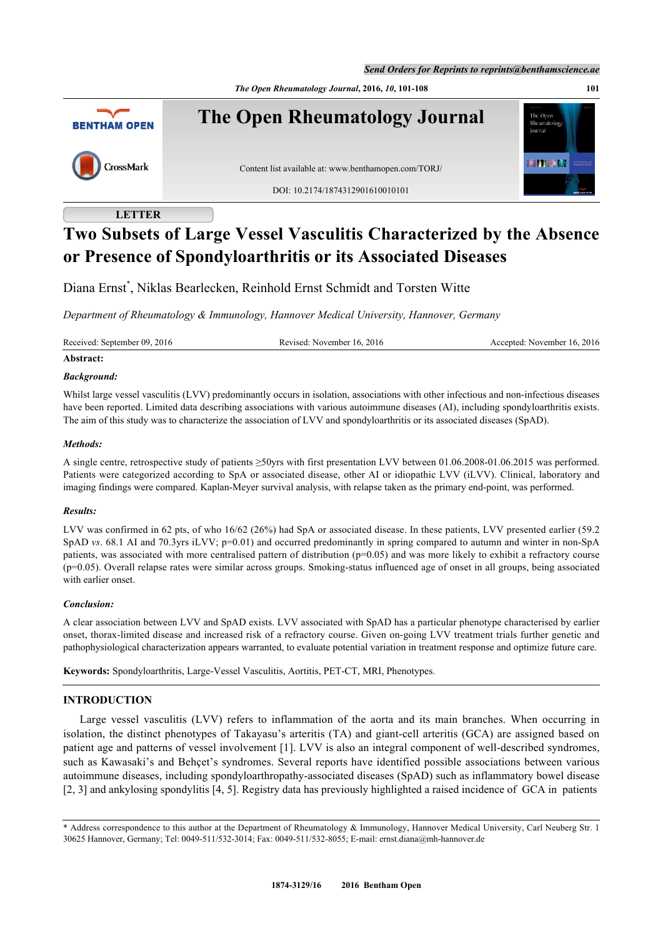*Send Orders for Reprints to reprints@benthamscience.ae*

*The Open Rheumatology Journal***, 2016,** *10***, 101-108 101**



# **LETTER**

# **Two Subsets of Large Vessel Vasculitis Characterized by the Absence or Presence of Spondyloarthritis or its Associated Diseases**

Diana Ernst[\\*](#page-0-0) , Niklas Bearlecken, Reinhold Ernst Schmidt and Torsten Witte

*Department of Rheumatology & Immunology, Hannover Medical University, Hannover, Germany*

Received: September 09, 2016 Revised: November 16, 2016 Accepted: November 16, 2016

# **Abstract:**

#### *Background:*

Whilst large vessel vasculitis (LVV) predominantly occurs in isolation, associations with other infectious and non-infectious diseases have been reported. Limited data describing associations with various autoimmune diseases (AI), including spondyloarthritis exists. The aim of this study was to characterize the association of LVV and spondyloarthritis or its associated diseases (SpAD).

#### *Methods:*

A single centre, retrospective study of patients ≥50yrs with first presentation LVV between 01.06.2008-01.06.2015 was performed. Patients were categorized according to SpA or associated disease, other AI or idiopathic LVV (iLVV). Clinical, laboratory and imaging findings were compared. Kaplan-Meyer survival analysis, with relapse taken as the primary end-point, was performed.

#### *Results:*

LVV was confirmed in 62 pts, of who 16/62 (26%) had SpA or associated disease. In these patients, LVV presented earlier (59.2 SpAD *vs*. 68.1 AI and 70.3yrs iLVV; p=0.01) and occurred predominantly in spring compared to autumn and winter in non-SpA patients, was associated with more centralised pattern of distribution (p=0.05) and was more likely to exhibit a refractory course (p=0.05). Overall relapse rates were similar across groups. Smoking-status influenced age of onset in all groups, being associated with earlier onset.

#### *Conclusion:*

A clear association between LVV and SpAD exists. LVV associated with SpAD has a particular phenotype characterised by earlier onset, thorax-limited disease and increased risk of a refractory course. Given on-going LVV treatment trials further genetic and pathophysiological characterization appears warranted, to evaluate potential variation in treatment response and optimize future care.

**Keywords:** Spondyloarthritis, Large-Vessel Vasculitis, Aortitis, PET-CT, MRI, Phenotypes.

## **INTRODUCTION**

Large vessel vasculitis (LVV) refers to inflammation of the aorta and its main branches. When occurring in isolation, the distinct phenotypes of Takayasu's arteritis (TA) and giant-cell arteritis (GCA) are assigned based on patient age and patterns of vessel involvement [[1\]](#page-5-0). LVV is also an integral component of well-described syndromes, such as Kawasaki's and Behçet's syndromes. Several reports have identified possible associations between various autoimmune diseases, including spondyloarthropathy-associated diseases (SpAD) such as inflammatory bowel disease [\[2](#page-5-1), [3](#page-6-0)] and ankylosing spondylitis [[4,](#page-6-1) [5\]](#page-6-2). Registry data has previously highlighted a raised incidence of GCA in patients

<span id="page-0-0"></span><sup>\*</sup> Address correspondence to this author at the Department of Rheumatology & Immunology, Hannover Medical University, Carl Neuberg Str. 1 30625 Hannover, Germany; Tel: 0049-511/532-3014; Fax: 0049-511/532-8055; E-mail: [ernst.diana@mh-hannover.de](mailto:ernst.diana@mh-hannover.de)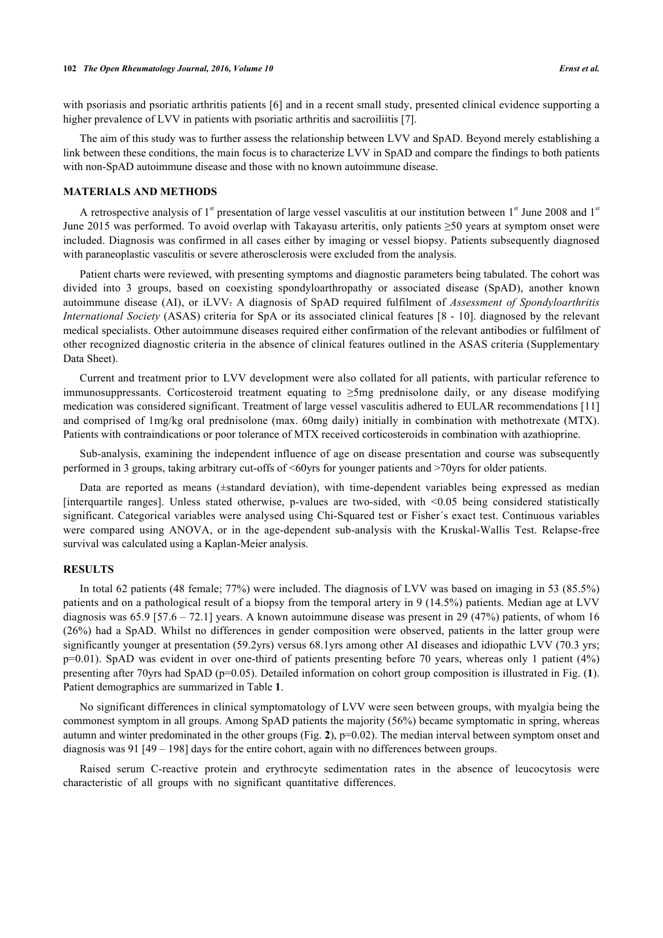with psoriasis and psoriatic arthritis patients [\[6](#page-6-3)] and in a recent small study, presented clinical evidence supporting a higher prevalence of LVV in patients with psoriatic arthritis and sacroiliitis [[7\]](#page-6-4).

The aim of this study was to further assess the relationship between LVV and SpAD. Beyond merely establishing a link between these conditions, the main focus is to characterize LVV in SpAD and compare the findings to both patients with non-SpAD autoimmune disease and those with no known autoimmune disease.

#### **MATERIALS AND METHODS**

A retrospective analysis of  $1<sup>st</sup>$  presentation of large vessel vasculitis at our institution between  $1<sup>st</sup>$  June 2008 and  $1<sup>st</sup>$ June 2015 was performed. To avoid overlap with Takayasu arteritis, only patients ≥50 years at symptom onset were included. Diagnosis was confirmed in all cases either by imaging or vessel biopsy. Patients subsequently diagnosed with paraneoplastic vasculitis or severe atherosclerosis were excluded from the analysis.

Patient charts were reviewed, with presenting symptoms and diagnostic parameters being tabulated. The cohort was divided into 3 groups, based on coexisting spondyloarthropathy or associated disease (SpAD), another known autoimmune disease (AI), or iLVV. A diagnosis of SpAD required fulfilment of *Assessment of Spondyloarthritis International Society* (ASAS) criteria for SpA or its associated clinical features [\[8](#page-6-5) - [10\]](#page-6-6). diagnosed by the relevant medical specialists. Other autoimmune diseases required either confirmation of the relevant antibodies or fulfilment of other recognized diagnostic criteria in the absence of clinical features outlined in the ASAS criteria (Supplementary Data Sheet).

Current and treatment prior to LVV development were also collated for all patients, with particular reference to immunosuppressants. Corticosteroid treatment equating to ≥5mg prednisolone daily, or any disease modifying medication was considered significant. Treatment of large vessel vasculitis adhered to EULAR recommendations [\[11](#page-6-7)] and comprised of 1mg/kg oral prednisolone (max. 60mg daily) initially in combination with methotrexate (MTX). Patients with contraindications or poor tolerance of MTX received corticosteroids in combination with azathioprine.

Sub-analysis, examining the independent influence of age on disease presentation and course was subsequently performed in 3 groups, taking arbitrary cut-offs of <60yrs for younger patients and >70yrs for older patients.

Data are reported as means (±standard deviation), with time-dependent variables being expressed as median [interquartile ranges]. Unless stated otherwise, p-values are two-sided, with <0.05 being considered statistically significant. Categorical variables were analysed using Chi-Squared test or Fisher´s exact test. Continuous variables were compared using ANOVA, or in the age-dependent sub-analysis with the Kruskal-Wallis Test. Relapse-free survival was calculated using a Kaplan-Meier analysis.

### **RESULTS**

In total 62 patients (48 female; 77%) were included. The diagnosis of LVV was based on imaging in 53 (85.5%) patients and on a pathological result of a biopsy from the temporal artery in 9 (14.5%) patients. Median age at LVV diagnosis was  $65.9$  [57.6 – 72.1] years. A known autoimmune disease was present in 29 (47%) patients, of whom 16 (26%) had a SpAD. Whilst no differences in gender composition were observed, patients in the latter group were significantly younger at presentation (59.2yrs) versus 68.1yrs among other AI diseases and idiopathic LVV (70.3 yrs; p=0.01). SpAD was evident in over one-third of patients presenting before 70 years, whereas only 1 patient (4%) presenting after 70yrs had SpAD (p=0.05). Detailed information on cohort group composition is illustrated in Fig. (**[1](#page-1-0)**). Patient demographics are summarized in Table **[1](#page-3-0)**.

No significant differences in clinical symptomatology of LVV were seen between groups, with myalgia being the commonest symptom in all groups. Among SpAD patients the majority (56%) became symptomatic in spring, whereas autumn and winter predominated in the other groups (Fig. **[2](#page-2-0)**), p=0.02). The median interval between symptom onset and diagnosis was 91 [49 – 198] days for the entire cohort, again with no differences between groups.

<span id="page-1-0"></span>Raised serum C-reactive protein and erythrocyte sedimentation rates in the absence of leucocytosis were characteristic of all groups with no significant quantitative differences.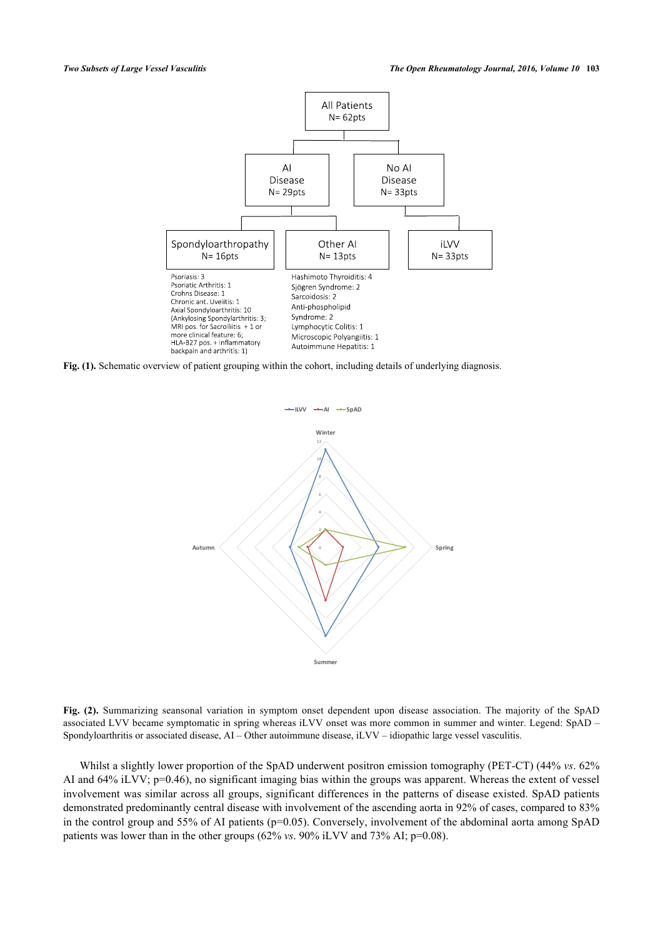

<span id="page-2-0"></span>**Fig. (1).** Schematic overview of patient grouping within the cohort, including details of underlying diagnosis.



**Fig. (2).** Summarizing seansonal variation in symptom onset dependent upon disease association. The majority of the SpAD associated LVV became symptomatic in spring whereas iLVV onset was more common in summer and winter. Legend: SpAD – Spondyloarthritis or associated disease, AI – Other autoimmune disease, iLVV – idiopathic large vessel vasculitis.

Whilst a slightly lower proportion of the SpAD underwent positron emission tomography (PET-CT) (44% *vs*. 62% AI and 64% iLVV; p=0.46), no significant imaging bias within the groups was apparent. Whereas the extent of vessel involvement was similar across all groups, significant differences in the patterns of disease existed. SpAD patients demonstrated predominantly central disease with involvement of the ascending aorta in 92% of cases, compared to 83% in the control group and 55% of AI patients ( $p=0.05$ ). Conversely, involvement of the abdominal aorta among SpAD patients was lower than in the other groups (62% *vs*. 90% iLVV and 73% AI; p=0.08).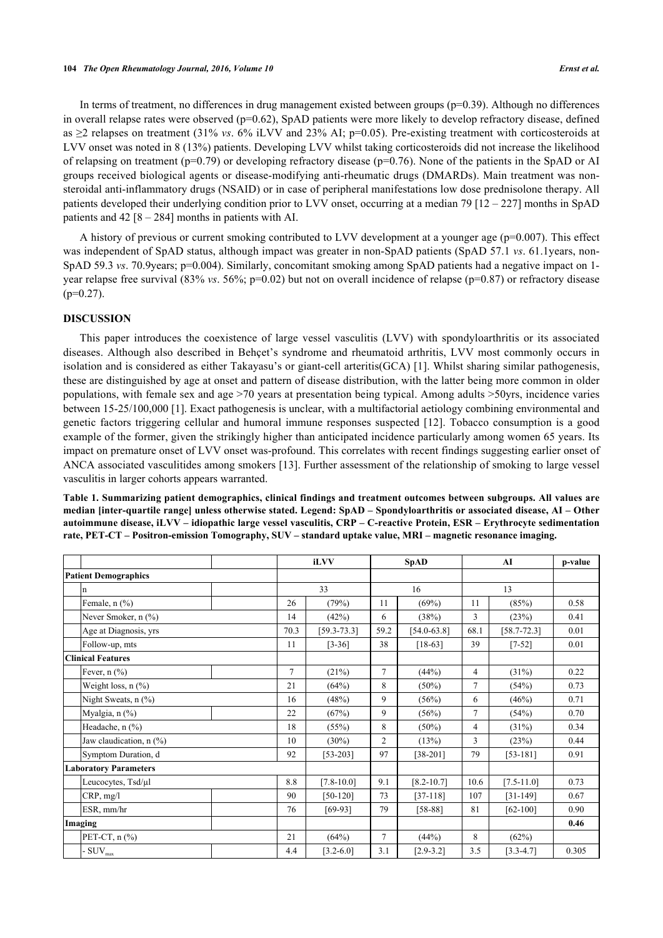#### **104** *The Open Rheumatology Journal, 2016, Volume 10 Ernst et al.*

In terms of treatment, no differences in drug management existed between groups  $(p=0.39)$ . Although no differences in overall relapse rates were observed (p=0.62), SpAD patients were more likely to develop refractory disease, defined as ≥2 relapses on treatment (31% *vs*. 6% iLVV and 23% AI; p=0.05). Pre-existing treatment with corticosteroids at LVV onset was noted in 8 (13%) patients. Developing LVV whilst taking corticosteroids did not increase the likelihood of relapsing on treatment ( $p=0.79$ ) or developing refractory disease ( $p=0.76$ ). None of the patients in the SpAD or AI groups received biological agents or disease-modifying anti-rheumatic drugs (DMARDs). Main treatment was nonsteroidal anti-inflammatory drugs (NSAID) or in case of peripheral manifestations low dose prednisolone therapy. All patients developed their underlying condition prior to LVV onset, occurring at a median 79 [12 – 227] months in SpAD patients and  $42 [8 - 284]$  months in patients with AI.

A history of previous or current smoking contributed to LVV development at a younger age (p=0.007). This effect was independent of SpAD status, although impact was greater in non-SpAD patients (SpAD 57.1 *vs*. 61.1years, non-SpAD 59.3 *vs.* 70.9 years; p=0.004). Similarly, concomitant smoking among SpAD patients had a negative impact on 1year relapse free survival (83% *vs*. 56%; p=0.02) but not on overall incidence of relapse (p=0.87) or refractory disease  $(p=0.27)$ .

#### **DISCUSSION**

This paper introduces the coexistence of large vessel vasculitis (LVV) with spondyloarthritis or its associated diseases. Although also described in Behçet's syndrome and rheumatoid arthritis, LVV most commonly occurs in isolation and is considered as either Takayasu's or giant-cell arteritis(GCA) [[1](#page-5-0)]. Whilst sharing similar pathogenesis, these are distinguished by age at onset and pattern of disease distribution, with the latter being more common in older populations, with female sex and age >70 years at presentation being typical. Among adults >50yrs, incidence varies between 15-25/100,000 [\[1](#page-5-0)]. Exact pathogenesis is unclear, with a multifactorial aetiology combining environmental and genetic factors triggering cellular and humoral immune responses suspected [[12](#page-6-8)]. Tobacco consumption is a good example of the former, given the strikingly higher than anticipated incidence particularly among women 65 years. Its impact on premature onset of LVV onset was-profound. This correlates with recent findings suggesting earlier onset of ANCA associated vasculitides among smokers [[13](#page-6-9)]. Further assessment of the relationship of smoking to large vessel vasculitis in larger cohorts appears warranted.

<span id="page-3-0"></span>**Table 1. Summarizing patient demographics, clinical findings and treatment outcomes between subgroups. All values are median [inter-quartile range] unless otherwise stated. Legend: SpAD – Spondyloarthritis or associated disease, AI – Other autoimmune disease, iLVV – idiopathic large vessel vasculitis, CRP – C-reactive Protein, ESR – Erythrocyte sedimentation rate, PET-CT – Positron-emission Tomography, SUV – standard uptake value, MRI – magnetic resonance imaging.**

|                             |                                        |  | iLVV   |                 | <b>SpAD</b>    |                 | AI   |                 | p-value |
|-----------------------------|----------------------------------------|--|--------|-----------------|----------------|-----------------|------|-----------------|---------|
| <b>Patient Demographics</b> |                                        |  |        |                 |                |                 |      |                 |         |
|                             | n                                      |  | 33     |                 | 16             |                 | 13   |                 |         |
|                             | Female, $n$ $(\frac{9}{6})$            |  | 26     | (79%)           | 11             | (69%)           | 11   | (85%)           | 0.58    |
|                             | Never Smoker, n (%)                    |  | 14     | (42%)           | 6              | (38%)           | 3    | (23%)           | 0.41    |
|                             | Age at Diagnosis, yrs                  |  | 70.3   | $[59.3 - 73.3]$ | 59.2           | $[54.0 - 63.8]$ | 68.1 | $[58.7 - 72.3]$ | 0.01    |
|                             | Follow-up, mts                         |  | 11     | $[3-36]$        | 38             | $[18-63]$       | 39   | $[7-52]$        | 0.01    |
|                             | Clinical Features                      |  |        |                 |                |                 |      |                 |         |
|                             | Fever, $n$ $(\%)$                      |  | $\tau$ | (21%)           | $\overline{7}$ | (44%)           | 4    | (31%)           | 0.22    |
|                             | Weight loss, n (%)                     |  | 21     | (64%)           | 8              | $(50\%)$        | 7    | (54%)           | 0.73    |
|                             | Night Sweats, n (%)                    |  | 16     | (48%)           | 9              | (56%)           | 6    | (46%)           | 0.71    |
|                             | Myalgia, n (%)                         |  | 22     | (67%)           | 9              | (56%)           | 7    | (54%)           | 0.70    |
|                             | Headache, n (%)                        |  | 18     | (55%)           | 8              | $(50\%)$        | 4    | (31%)           | 0.34    |
|                             | Jaw claudication, $n$ $(\%)$           |  | 10     | $(30\%)$        | 2              | (13%)           | 3    | (23%)           | 0.44    |
|                             | Symptom Duration, d                    |  | 92     | $[53-203]$      | 97             | $[38-201]$      | 79   | $[53-181]$      | 0.91    |
|                             | <b>Laboratory Parameters</b>           |  |        |                 |                |                 |      |                 |         |
|                             | Leucocytes, Tsd/µl                     |  | 8.8    | $[7.8 - 10.0]$  | 9.1            | $[8.2 - 10.7]$  | 10.6 | $[7.5 - 11.0]$  | 0.73    |
|                             | CRP, mg/l                              |  | 90     | $[50-120]$      | 73             | $[37-118]$      | 107  | $[31-149]$      | 0.67    |
|                             | ESR, mm/hr                             |  | 76     | $[69-93]$       | 79             | $[58-88]$       | 81   | $[62-100]$      | 0.90    |
|                             | Imaging                                |  |        |                 |                |                 |      |                 | 0.46    |
|                             | PET-CT, $n$ $\left(\frac{9}{6}\right)$ |  | 21     | (64%)           | $\overline{7}$ | (44%)           | 8    | (62%)           |         |
|                             | $\cdot$ SUV $_{\text{max}}$            |  | 4.4    | $[3.2 - 6.0]$   | 3.1            | $[2.9 - 3.2]$   | 3.5  | $[3.3 - 4.7]$   | 0.305   |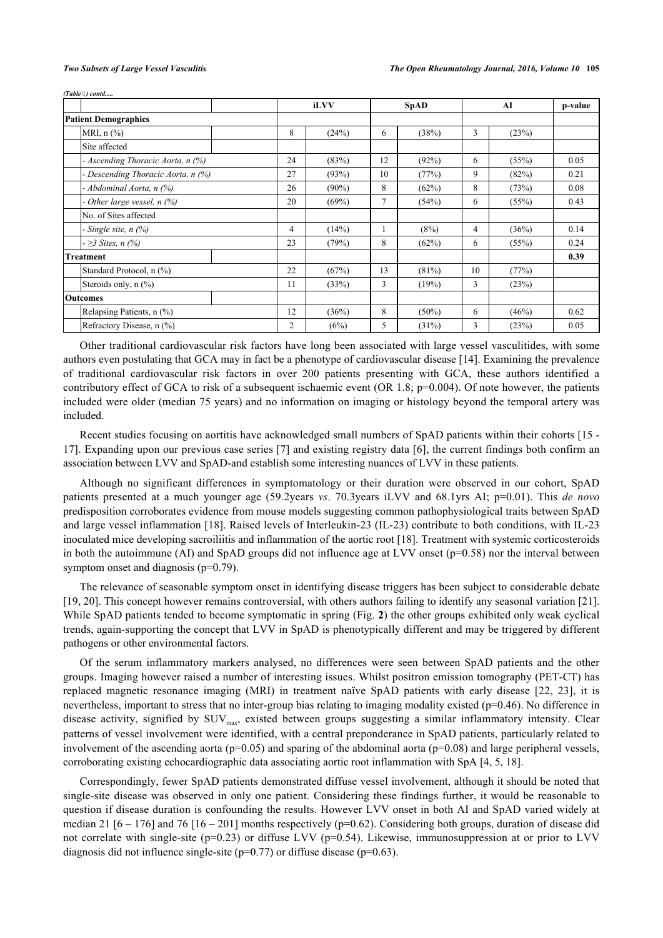*(Table ) contd.....*

|                                   |    | iLVV     | <b>SpAD</b> |          | AI |       | p-value |
|-----------------------------------|----|----------|-------------|----------|----|-------|---------|
| <b>Patient Demographics</b>       |    |          |             |          |    |       |         |
| MRI, $n$ $(\%)$                   | 8  | (24%)    | 6           | (38%)    | 3  | (23%) |         |
| Site affected                     |    |          |             |          |    |       |         |
| - Ascending Thoracic Aorta, n (%) | 24 | (83%)    | 12          | (92%)    | 6  | (55%) | 0.05    |
| Descending Thoracic Aorta, n (%)  | 27 | (93%)    | 10          | (77%)    | 9  | (82%) | 0.21    |
| - Abdominal Aorta, n (%)          | 26 | $(90\%)$ | 8           | (62%)    | 8  | (73%) | 0.08    |
| Other large vessel, $n$ (%)       | 20 | (69%)    | $\tau$      | (54%)    | 6  | (55%) | 0.43    |
| No. of Sites affected             |    |          |             |          |    |       |         |
| - Single site, $n$ $(\%)$         | 4  | (14%)    |             | (8%)     | 4  | (36%) | 0.14    |
| $- \geq 3$ Sites, n (%)           | 23 | (79%)    | 8           | (62%)    | 6  | (55%) | 0.24    |
| <b>Treatment</b>                  |    |          |             |          |    |       | 0.39    |
| Standard Protocol, n (%)          | 22 | (67%)    | 13          | (81%)    | 10 | (77%) |         |
| Steroids only, $n$ $(\%)$         | 11 | (33%)    | 3           | (19%)    | 3  | (23%) |         |
| <b>Outcomes</b>                   |    |          |             |          |    |       |         |
| Relapsing Patients, n (%)         | 12 | (36%)    | 8           | $(50\%)$ | 6  | (46%) | 0.62    |
| Refractory Disease, n (%)         | 2  | (6%)     | 5           | (31%)    | 3  | (23%) | 0.05    |

Other traditional cardiovascular risk factors have long been associated with large vessel vasculitides, with some authors even postulating that GCA may in fact be a phenotype of cardiovascular disease [[14\]](#page-6-10). Examining the prevalence of traditional cardiovascular risk factors in over 200 patients presenting with GCA, these authors identified a contributory effect of GCA to risk of a subsequent ischaemic event (OR 1.8;  $p=0.004$ ). Of note however, the patients included were older (median 75 years) and no information on imaging or histology beyond the temporal artery was included.

Recent studies focusing on aortitis have acknowledged small numbers of SpAD patients within their cohorts [\[15](#page-6-11) - [17\]](#page-6-12). Expanding upon our previous case series [[7\]](#page-6-4) and existing registry data [\[6](#page-6-3)], the current findings both confirm an association between LVV and SpAD-and establish some interesting nuances of LVV in these patients.

Although no significant differences in symptomatology or their duration were observed in our cohort, SpAD patients presented at a much younger age (59.2years *vs*. 70.3years iLVV and 68.1yrs AI; p=0.01). This *de novo* predisposition corroborates evidence from mouse models suggesting common pathophysiological traits between SpAD and large vessel inflammation [[18](#page-6-13)]. Raised levels of Interleukin-23 (IL-23) contribute to both conditions, with IL-23 inoculated mice developing sacroiliitis and inflammation of the aortic root [[18\]](#page-6-13). Treatment with systemic corticosteroids in both the autoimmune (AI) and SpAD groups did not influence age at LVV onset  $(p=0.58)$  nor the interval between symptom onset and diagnosis ( $p=0.79$ ).

The relevance of seasonable symptom onset in identifying disease triggers has been subject to considerable debate [\[19](#page-6-14), [20](#page-6-15)]. This concept however remains controversial, with others authors failing to identify any seasonal variation [[21\]](#page-6-16). While SpAD patients tended to become symptomatic in spring (Fig. **[2](#page-2-0)**) the other groups exhibited only weak cyclical trends, again-supporting the concept that LVV in SpAD is phenotypically different and may be triggered by different pathogens or other environmental factors.

Of the serum inflammatory markers analysed, no differences were seen between SpAD patients and the other groups. Imaging however raised a number of interesting issues. Whilst positron emission tomography (PET-CT) has replaced magnetic resonance imaging (MRI) in treatment naïve SpAD patients with early disease[[22](#page-7-0), [23](#page-7-1)], it is nevertheless, important to stress that no inter-group bias relating to imaging modality existed (p=0.46). No difference in disease activity, signified by SUV<sub>max</sub>, existed between groups suggesting a similar inflammatory intensity. Clear patterns of vessel involvement were identified, with a central preponderance in SpAD patients, particularly related to involvement of the ascending aorta (p=0.05) and sparing of the abdominal aorta (p=0.08) and large peripheral vessels, corroborating existing echocardiographic data associating aortic root inflammation with SpA [\[4](#page-6-1), [5](#page-6-2), [18](#page-6-13)].

Correspondingly, fewer SpAD patients demonstrated diffuse vessel involvement, although it should be noted that single-site disease was observed in only one patient. Considering these findings further, it would be reasonable to question if disease duration is confounding the results. However LVV onset in both AI and SpAD varied widely at median 21 [6 – 176] and 76 [16 – 201] months respectively ( $p=0.62$ ). Considering both groups, duration of disease did not correlate with single-site ( $p=0.23$ ) or diffuse LVV ( $p=0.54$ ). Likewise, immunosuppression at or prior to LVV diagnosis did not influence single-site ( $p=0.77$ ) or diffuse disease ( $p=0.63$ ).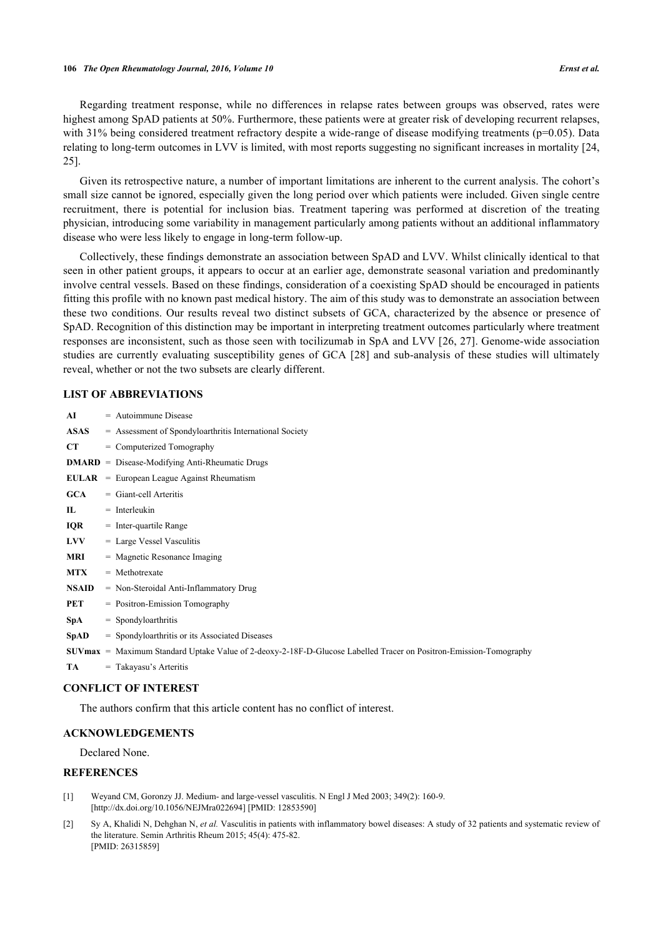Regarding treatment response, while no differences in relapse rates between groups was observed, rates were highest among SpAD patients at 50%. Furthermore, these patients were at greater risk of developing recurrent relapses, with 31% being considered treatment refractory despite a wide-range of disease modifying treatments (p=0.05). Data relating to long-term outcomes in LVV is limited, with most reports suggesting no significant increases in mortality [[24](#page-7-2), [25\]](#page-7-3).

Given its retrospective nature, a number of important limitations are inherent to the current analysis. The cohort's small size cannot be ignored, especially given the long period over which patients were included. Given single centre recruitment, there is potential for inclusion bias. Treatment tapering was performed at discretion of the treating physician, introducing some variability in management particularly among patients without an additional inflammatory disease who were less likely to engage in long-term follow-up.

Collectively, these findings demonstrate an association between SpAD and LVV. Whilst clinically identical to that seen in other patient groups, it appears to occur at an earlier age, demonstrate seasonal variation and predominantly involve central vessels. Based on these findings, consideration of a coexisting SpAD should be encouraged in patients fitting this profile with no known past medical history. The aim of this study was to demonstrate an association between these two conditions. Our results reveal two distinct subsets of GCA, characterized by the absence or presence of SpAD. Recognition of this distinction may be important in interpreting treatment outcomes particularly where treatment responses are inconsistent, such as those seen with tocilizumab in SpA and LVV [[26,](#page-7-4) [27](#page-7-5)]. Genome-wide association studies are currently evaluating susceptibility genes of GCA [\[28](#page-7-6)] and sub-analysis of these studies will ultimately reveal, whether or not the two subsets are clearly different.

#### **LIST OF ABBREVIATIONS**

| AI           | $=$ Autoimmune Disease                                                                                                     |
|--------------|----------------------------------------------------------------------------------------------------------------------------|
| <b>ASAS</b>  | = Assessment of Spondyloarthritis International Society                                                                    |
| CT.          | $=$ Computerized Tomography                                                                                                |
|              | $DMARD = Disease-Modifying Anti-Rheumatic Drugs$                                                                           |
|              | $EULAR = European League Against Rheumatism$                                                                               |
| <b>GCA</b>   | $=$ Giant-cell Arteritis                                                                                                   |
| IL           | $=$ Interleukin                                                                                                            |
| <b>IQR</b>   | $=$ Inter-quartile Range                                                                                                   |
| <b>LVV</b>   | $=$ Large Vessel Vasculitis                                                                                                |
| <b>MRI</b>   | $=$ Magnetic Resonance Imaging                                                                                             |
| <b>MTX</b>   | $=$ Methotrexate                                                                                                           |
| <b>NSAID</b> | $=$ Non-Steroidal Anti-Inflammatory Drug                                                                                   |
| PET          | $=$ Positron-Emission Tomography                                                                                           |
| SpA          | $=$ Spondyloarthritis                                                                                                      |
| <b>SpAD</b>  | = Spondyloarthritis or its Associated Diseases                                                                             |
|              | $\text{SUVmax}$ = Maximum Standard Uptake Value of 2-deoxy-2-18F-D-Glucose Labelled Tracer on Positron-Emission-Tomography |

**TA** = Takayasu's Arteritis

#### **CONFLICT OF INTEREST**

The authors confirm that this article content has no conflict of interest.

#### **ACKNOWLEDGEMENTS**

Declared None.

### **REFERENCES**

- <span id="page-5-0"></span>[1] Weyand CM, Goronzy JJ. Medium- and large-vessel vasculitis. N Engl J Med 2003; 349(2): 160-9. [\[http://dx.doi.org/10.1056/NEJMra022694\]](http://dx.doi.org/10.1056/NEJMra022694) [PMID: [12853590](http://www.ncbi.nlm.nih.gov/pubmed/12853590)]
- <span id="page-5-1"></span>[2] Sy A, Khalidi N, Dehghan N, *et al.* Vasculitis in patients with inflammatory bowel diseases: A study of 32 patients and systematic review of the literature. Semin Arthritis Rheum 2015; 45(4): 475-82. [PMID: [26315859\]](http://www.ncbi.nlm.nih.gov/pubmed/26315859)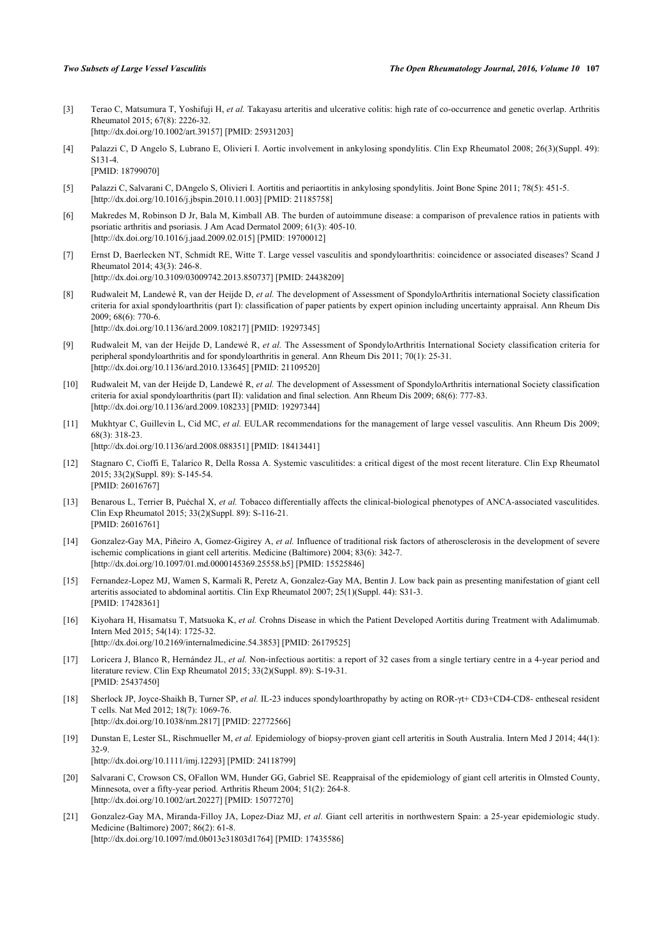- <span id="page-6-0"></span>[3] Terao C, Matsumura T, Yoshifuji H, *et al.* Takayasu arteritis and ulcerative colitis: high rate of co-occurrence and genetic overlap. Arthritis Rheumatol 2015; 67(8): 2226-32. [\[http://dx.doi.org/10.1002/art.39157](http://dx.doi.org/10.1002/art.39157)] [PMID: [25931203\]](http://www.ncbi.nlm.nih.gov/pubmed/25931203)
- <span id="page-6-1"></span>[4] Palazzi C, D Angelo S, Lubrano E, Olivieri I. Aortic involvement in ankylosing spondylitis. Clin Exp Rheumatol 2008; 26(3)(Suppl. 49): S131-4. [PMID: [18799070\]](http://www.ncbi.nlm.nih.gov/pubmed/18799070)
- <span id="page-6-2"></span>[5] Palazzi C, Salvarani C, DAngelo S, Olivieri I. Aortitis and periaortitis in ankylosing spondylitis. Joint Bone Spine 2011; 78(5): 451-5. [\[http://dx.doi.org/10.1016/j.jbspin.2010.11.003\]](http://dx.doi.org/10.1016/j.jbspin.2010.11.003) [PMID: [21185758](http://www.ncbi.nlm.nih.gov/pubmed/21185758)]
- <span id="page-6-3"></span>[6] Makredes M, Robinson D Jr, Bala M, Kimball AB. The burden of autoimmune disease: a comparison of prevalence ratios in patients with psoriatic arthritis and psoriasis. J Am Acad Dermatol 2009; 61(3): 405-10. [\[http://dx.doi.org/10.1016/j.jaad.2009.02.015](http://dx.doi.org/10.1016/j.jaad.2009.02.015)] [PMID: [19700012\]](http://www.ncbi.nlm.nih.gov/pubmed/19700012)
- <span id="page-6-4"></span>[7] Ernst D, Baerlecken NT, Schmidt RE, Witte T. Large vessel vasculitis and spondyloarthritis: coincidence or associated diseases? Scand J Rheumatol 2014; 43(3): 246-8. [\[http://dx.doi.org/10.3109/03009742.2013.850737\]](http://dx.doi.org/10.3109/03009742.2013.850737) [PMID: [24438209](http://www.ncbi.nlm.nih.gov/pubmed/24438209)]
- <span id="page-6-5"></span>[8] Rudwaleit M, Landewé R, van der Heijde D, *et al.* The development of Assessment of SpondyloArthritis international Society classification criteria for axial spondyloarthritis (part I): classification of paper patients by expert opinion including uncertainty appraisal. Ann Rheum Dis 2009; 68(6): 770-6. [\[http://dx.doi.org/10.1136/ard.2009.108217](http://dx.doi.org/10.1136/ard.2009.108217)] [PMID: [19297345\]](http://www.ncbi.nlm.nih.gov/pubmed/19297345)
- [9] Rudwaleit M, van der Heijde D, Landewé R, *et al.* The Assessment of SpondyloArthritis International Society classification criteria for peripheral spondyloarthritis and for spondyloarthritis in general. Ann Rheum Dis 2011; 70(1): 25-31. [\[http://dx.doi.org/10.1136/ard.2010.133645](http://dx.doi.org/10.1136/ard.2010.133645)] [PMID: [21109520\]](http://www.ncbi.nlm.nih.gov/pubmed/21109520)
- <span id="page-6-6"></span>[10] Rudwaleit M, van der Heijde D, Landewé R, *et al.* The development of Assessment of SpondyloArthritis international Society classification criteria for axial spondyloarthritis (part II): validation and final selection. Ann Rheum Dis 2009; 68(6): 777-83. [\[http://dx.doi.org/10.1136/ard.2009.108233](http://dx.doi.org/10.1136/ard.2009.108233)] [PMID: [19297344\]](http://www.ncbi.nlm.nih.gov/pubmed/19297344)
- <span id="page-6-7"></span>[11] Mukhtyar C, Guillevin L, Cid MC, *et al.* EULAR recommendations for the management of large vessel vasculitis. Ann Rheum Dis 2009; 68(3): 318-23. [\[http://dx.doi.org/10.1136/ard.2008.088351](http://dx.doi.org/10.1136/ard.2008.088351)] [PMID: [18413441\]](http://www.ncbi.nlm.nih.gov/pubmed/18413441)
- <span id="page-6-8"></span>[12] Stagnaro C, Cioffi E, Talarico R, Della Rossa A. Systemic vasculitides: a critical digest of the most recent literature. Clin Exp Rheumatol 2015; 33(2)(Suppl. 89): S-145-54. [PMID: [26016767\]](http://www.ncbi.nlm.nih.gov/pubmed/26016767)
- <span id="page-6-9"></span>[13] Benarous L, Terrier B, Puéchal X, et al. Tobacco differentially affects the clinical-biological phenotypes of ANCA-associated vasculitides. Clin Exp Rheumatol 2015; 33(2)(Suppl. 89): S-116-21. [PMID: [26016761\]](http://www.ncbi.nlm.nih.gov/pubmed/26016761)
- <span id="page-6-10"></span>[14] Gonzalez-Gay MA, Piñeiro A, Gomez-Gigirey A, *et al.* Influence of traditional risk factors of atherosclerosis in the development of severe ischemic complications in giant cell arteritis. Medicine (Baltimore) 2004; 83(6): 342-7. [\[http://dx.doi.org/10.1097/01.md.0000145369.25558.b5](http://dx.doi.org/10.1097/01.md.0000145369.25558.b5)] [PMID: [15525846\]](http://www.ncbi.nlm.nih.gov/pubmed/15525846)
- <span id="page-6-11"></span>[15] Fernandez-Lopez MJ, Wamen S, Karmali R, Peretz A, Gonzalez-Gay MA, Bentin J. Low back pain as presenting manifestation of giant cell arteritis associated to abdominal aortitis. Clin Exp Rheumatol 2007; 25(1)(Suppl. 44): S31-3. [PMID: [17428361\]](http://www.ncbi.nlm.nih.gov/pubmed/17428361)
- [16] Kiyohara H, Hisamatsu T, Matsuoka K, *et al.* Crohns Disease in which the Patient Developed Aortitis during Treatment with Adalimumab. Intern Med 2015; 54(14): 1725-32. [\[http://dx.doi.org/10.2169/internalmedicine.54.3853\]](http://dx.doi.org/10.2169/internalmedicine.54.3853) [PMID: [26179525](http://www.ncbi.nlm.nih.gov/pubmed/26179525)]
- <span id="page-6-12"></span>[17] Loricera J, Blanco R, Hernández JL, *et al.* Non-infectious aortitis: a report of 32 cases from a single tertiary centre in a 4-year period and literature review. Clin Exp Rheumatol 2015; 33(2)(Suppl. 89): S-19-31. [PMID: [25437450\]](http://www.ncbi.nlm.nih.gov/pubmed/25437450)
- <span id="page-6-13"></span>[18] Sherlock JP, Joyce-Shaikh B, Turner SP, *et al.* IL-23 induces spondyloarthropathy by acting on ROR-γt+ CD3+CD4-CD8- entheseal resident T cells. Nat Med 2012; 18(7): 1069-76. [\[http://dx.doi.org/10.1038/nm.2817](http://dx.doi.org/10.1038/nm.2817)] [PMID: [22772566\]](http://www.ncbi.nlm.nih.gov/pubmed/22772566)
- <span id="page-6-14"></span>[19] Dunstan E, Lester SL, Rischmueller M, *et al.* Epidemiology of biopsy-proven giant cell arteritis in South Australia. Intern Med J 2014; 44(1): 32-9. [\[http://dx.doi.org/10.1111/imj.12293](http://dx.doi.org/10.1111/imj.12293)] [PMID: [24118799](http://www.ncbi.nlm.nih.gov/pubmed/24118799)]
- <span id="page-6-15"></span>[20] Salvarani C, Crowson CS, OFallon WM, Hunder GG, Gabriel SE. Reappraisal of the epidemiology of giant cell arteritis in Olmsted County, Minnesota, over a fifty-year period. Arthritis Rheum 2004; 51(2): 264-8. [\[http://dx.doi.org/10.1002/art.20227](http://dx.doi.org/10.1002/art.20227)] [PMID: [15077270\]](http://www.ncbi.nlm.nih.gov/pubmed/15077270)
- <span id="page-6-16"></span>[21] Gonzalez-Gay MA, Miranda-Filloy JA, Lopez-Diaz MJ, *et al.* Giant cell arteritis in northwestern Spain: a 25-year epidemiologic study. Medicine (Baltimore) 2007; 86(2): 61-8. [\[http://dx.doi.org/10.1097/md.0b013e31803d1764\]](http://dx.doi.org/10.1097/md.0b013e31803d1764) [PMID: [17435586](http://www.ncbi.nlm.nih.gov/pubmed/17435586)]